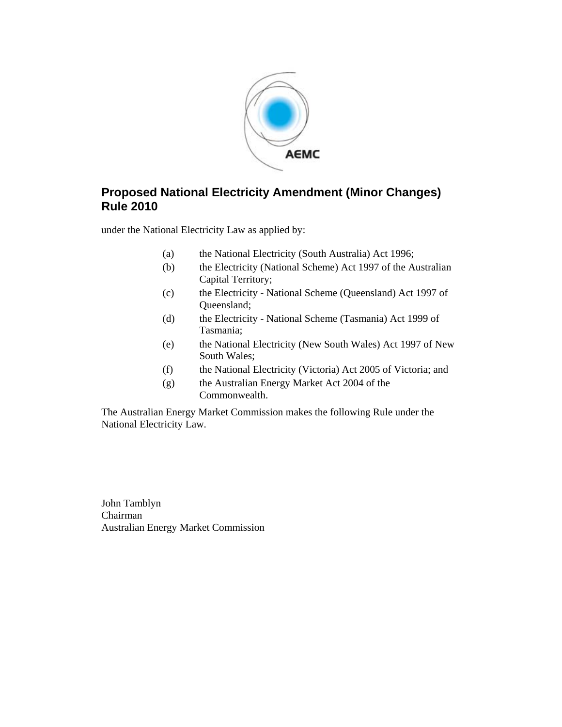

## **Proposed National Electricity Amendment (Minor Changes) Rule 2010**

under the National Electricity Law as applied by:

- (a) the National Electricity (South Australia) Act 1996;
- (b) the Electricity (National Scheme) Act 1997 of the Australian Capital Territory;
- (c) the Electricity National Scheme (Queensland) Act 1997 of Queensland;
- (d) the Electricity National Scheme (Tasmania) Act 1999 of Tasmania;
- (e) the National Electricity (New South Wales) Act 1997 of New South Wales;
- (f) the National Electricity (Victoria) Act 2005 of Victoria; and
- (g) the Australian Energy Market Act 2004 of the Commonwealth.

The Australian Energy Market Commission makes the following Rule under the National Electricity Law.

John Tamblyn Chairman Australian Energy Market Commission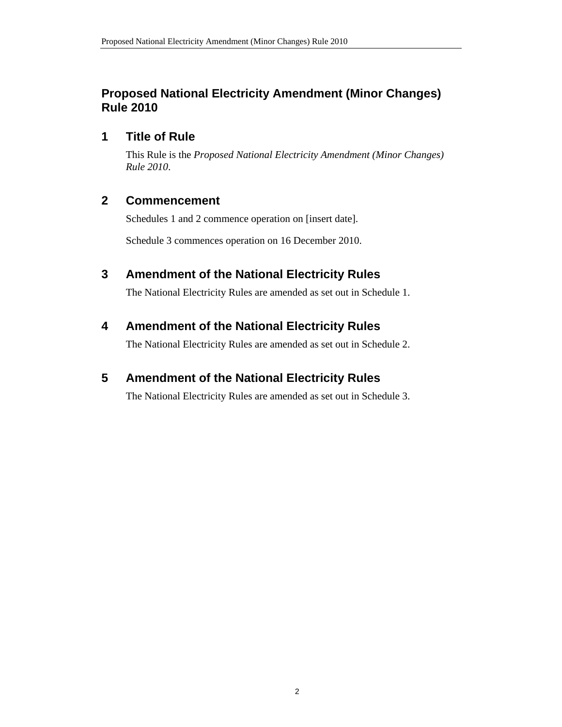## **Proposed National Electricity Amendment (Minor Changes) Rule 2010**

## **1 Title of Rule**

This Rule is the *Proposed National Electricity Amendment (Minor Changes) Rule 2010*.

## **2 Commencement**

Schedules 1 and 2 commence operation on [insert date].

Schedule 3 commences operation on 16 December 2010.

## **3 Amendment of the National Electricity Rules**

The National Electricity Rules are amended as set out in Schedule 1.

## **4 Amendment of the National Electricity Rules**

The National Electricity Rules are amended as set out in Schedule 2.

## **5 Amendment of the National Electricity Rules**

The National Electricity Rules are amended as set out in Schedule 3.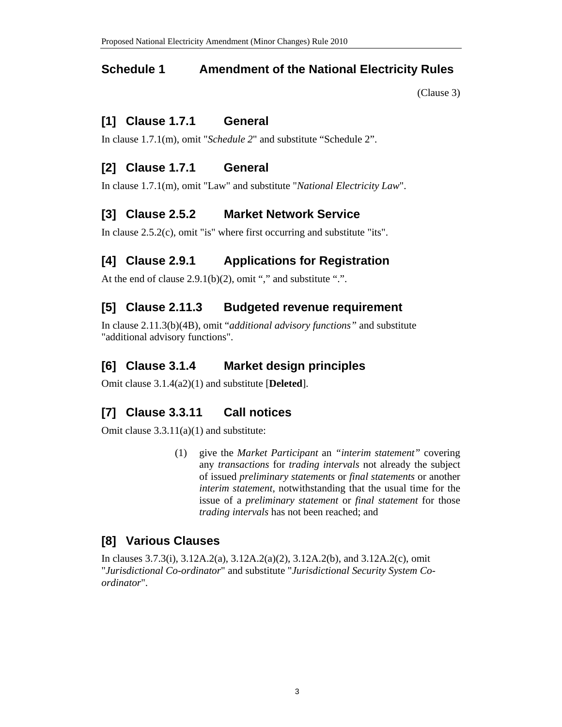### **Schedule 1 Amendment of the National Electricity Rules**

(Clause 3)

### **[1] Clause 1.7.1 General**

In clause 1.7.1(m), omit "*Schedule 2*" and substitute "Schedule 2".

## **[2] Clause 1.7.1 General**

In clause 1.7.1(m), omit "Law" and substitute "*National Electricity Law*".

## **[3] Clause 2.5.2 Market Network Service**

In clause 2.5.2(c), omit "is" where first occurring and substitute "its".

## **[4] Clause 2.9.1 Applications for Registration**

At the end of clause  $2.9.1(b)(2)$ , omit "," and substitute ".".

## **[5] Clause 2.11.3 Budgeted revenue requirement**

In clause 2.11.3(b)(4B), omit "*additional advisory functions"* and substitute "additional advisory functions".

### **[6] Clause 3.1.4 Market design principles**

Omit clause 3.1.4(a2)(1) and substitute [**Deleted**].

## **[7] Clause 3.3.11 Call notices**

Omit clause 3.3.11(a)(1) and substitute:

(1) give the *Market Participant* an *"interim statement"* covering any *transactions* for *trading intervals* not already the subject of issued *preliminary statements* or *final statements* or another *interim statement*, notwithstanding that the usual time for the issue of a *preliminary statement* or *final statement* for those *trading intervals* has not been reached; and

### **[8] Various Clauses**

In clauses 3.7.3(i), 3.12A.2(a), 3.12A.2(a)(2), 3.12A.2(b), and 3.12A.2(c), omit "*Jurisdictional Co-ordinator*" and substitute "*Jurisdictional Security System Coordinator*".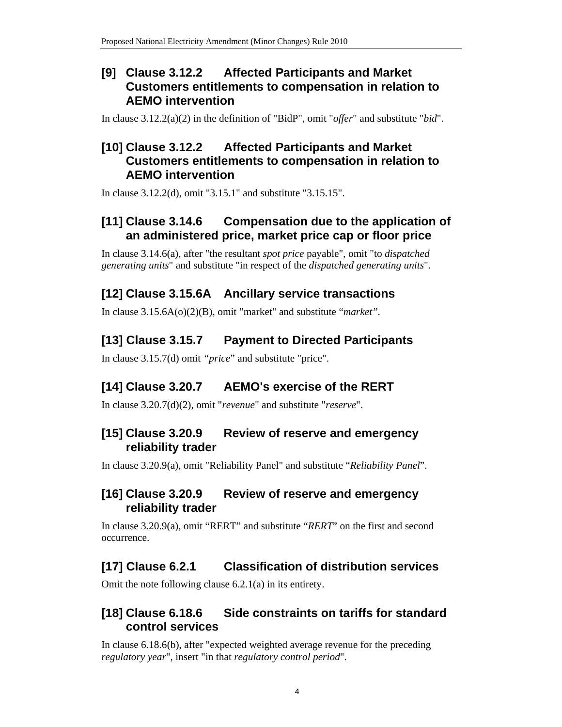## **[9] Clause 3.12.2 Affected Participants and Market Customers entitlements to compensation in relation to AEMO intervention**

In clause 3.12.2(a)(2) in the definition of "BidP", omit "*offer*" and substitute "*bid*".

## **[10] Clause 3.12.2 Affected Participants and Market Customers entitlements to compensation in relation to AEMO intervention**

In clause 3.12.2(d), omit "3.15.1" and substitute "3.15.15".

## **[11] Clause 3.14.6 Compensation due to the application of an administered price, market price cap or floor price**

In clause 3.14.6(a), after "the resultant *spot price* payable", omit "to *dispatched generating units*" and substitute "in respect of the *dispatched generating units*".

## **[12] Clause 3.15.6A Ancillary service transactions**

In clause 3.15.6A(o)(2)(B), omit "market" and substitute "*market".*

## **[13] Clause 3.15.7 Payment to Directed Participants**

In clause 3.15.7(d) omit *"price*" and substitute "price".

## **[14] Clause 3.20.7 AEMO's exercise of the RERT**

In clause 3.20.7(d)(2), omit "*revenue*" and substitute "*reserve*".

## **[15] Clause 3.20.9 Review of reserve and emergency reliability trader**

In clause 3.20.9(a), omit "Reliability Panel" and substitute "*Reliability Panel*".

## **[16] Clause 3.20.9 Review of reserve and emergency reliability trader**

In clause 3.20.9(a), omit "RERT" and substitute "*RERT*" on the first and second occurrence.

## **[17] Clause 6.2.1 Classification of distribution services**

Omit the note following clause 6.2.1(a) in its entirety.

## **[18] Clause 6.18.6 Side constraints on tariffs for standard control services**

In clause 6.18.6(b), after "expected weighted average revenue for the preceding *regulatory year*", insert "in that *regulatory control period*".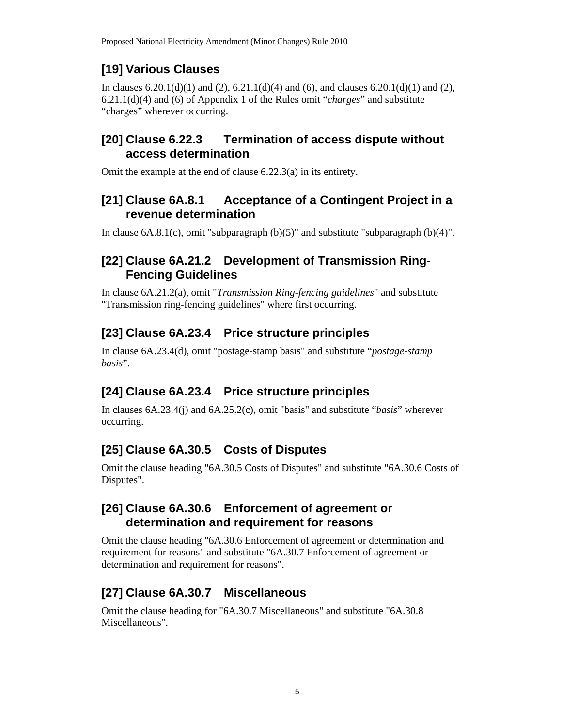# **[19] Various Clauses**

In clauses  $6.20.1(d)(1)$  and  $(2)$ ,  $6.21.1(d)(4)$  and  $(6)$ , and clauses  $6.20.1(d)(1)$  and  $(2)$ , 6.21.1(d)(4) and (6) of Appendix 1 of the Rules omit "*charges*" and substitute "charges" wherever occurring.

## **[20] Clause 6.22.3 Termination of access dispute without access determination**

Omit the example at the end of clause 6.22.3(a) in its entirety.

## **[21] Clause 6A.8.1 Acceptance of a Contingent Project in a revenue determination**

In clause  $6A.8.1(c)$ , omit "subparagraph  $(b)(5)$ " and substitute "subparagraph  $(b)(4)$ ".

## **[22] Clause 6A.21.2 Development of Transmission Ring-Fencing Guidelines**

In clause 6A.21.2(a), omit "*Transmission Ring-fencing guidelines*" and substitute "Transmission ring-fencing guidelines" where first occurring.

# **[23] Clause 6A.23.4 Price structure principles**

In clause 6A.23.4(d), omit "postage-stamp basis" and substitute "*postage-stamp basis*".

## **[24] Clause 6A.23.4 Price structure principles**

In clauses 6A.23.4(j) and 6A.25.2(c), omit "basis" and substitute "*basis*" wherever occurring.

# **[25] Clause 6A.30.5 Costs of Disputes**

Omit the clause heading "6A.30.5 Costs of Disputes" and substitute "6A.30.6 Costs of Disputes".

## **[26] Clause 6A.30.6 Enforcement of agreement or determination and requirement for reasons**

Omit the clause heading "6A.30.6 Enforcement of agreement or determination and requirement for reasons" and substitute "6A.30.7 Enforcement of agreement or determination and requirement for reasons".

# **[27] Clause 6A.30.7 Miscellaneous**

Omit the clause heading for "6A.30.7 Miscellaneous" and substitute "6A.30.8 Miscellaneous".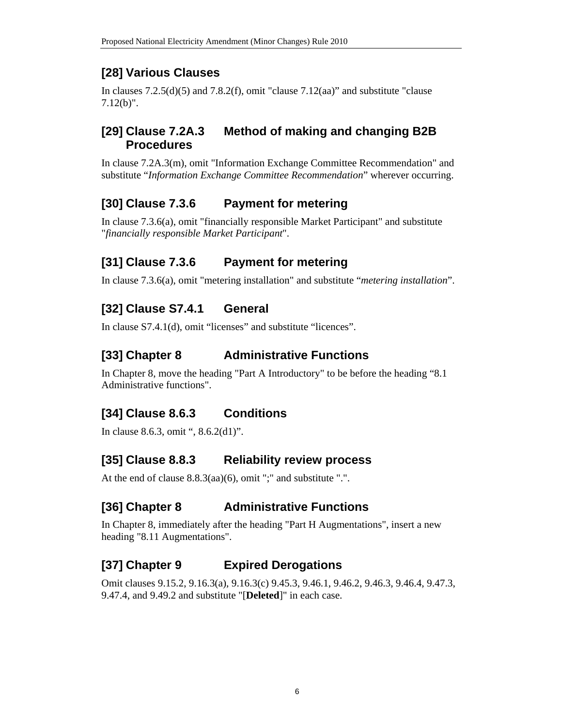## **[28] Various Clauses**

In clauses  $7.2.5(d)(5)$  and  $7.8.2(f)$ , omit "clause  $7.12(aa)$ " and substitute "clause 7.12(b)".

## **[29] Clause 7.2A.3 Method of making and changing B2B Procedures**

In clause 7.2A.3(m), omit "Information Exchange Committee Recommendation" and substitute "*Information Exchange Committee Recommendation*" wherever occurring.

## **[30] Clause 7.3.6 Payment for metering**

In clause 7.3.6(a), omit "financially responsible Market Participant" and substitute "*financially responsible Market Participant*".

## **[31] Clause 7.3.6 Payment for metering**

In clause 7.3.6(a), omit "metering installation" and substitute "*metering installation*".

# **[32] Clause S7.4.1 General**

In clause S7.4.1(d), omit "licenses" and substitute "licences".

## **[33] Chapter 8 Administrative Functions**

In Chapter 8, move the heading "Part A Introductory" to be before the heading "8.1 Administrative functions".

# **[34] Clause 8.6.3 Conditions**

In clause 8.6.3, omit ", 8.6.2(d1)".

## **[35] Clause 8.8.3 Reliability review process**

At the end of clause 8.8.3(aa)(6), omit ";" and substitute ".".

# **[36] Chapter 8 Administrative Functions**

In Chapter 8, immediately after the heading "Part H Augmentations", insert a new heading "8.11 Augmentations".

# **[37] Chapter 9 Expired Derogations**

Omit clauses 9.15.2, 9.16.3(a), 9.16.3(c) 9.45.3, 9.46.1, 9.46.2, 9.46.3, 9.46.4, 9.47.3, 9.47.4, and 9.49.2 and substitute "[**Deleted**]" in each case.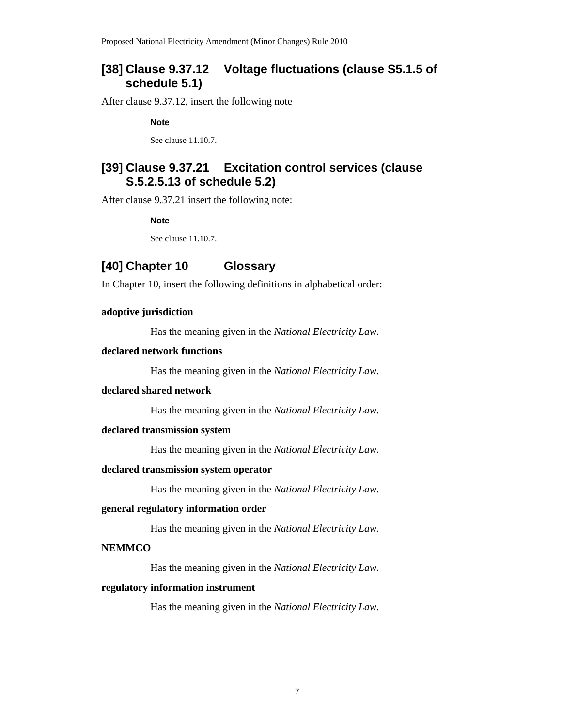### **[38] Clause 9.37.12 Voltage fluctuations (clause S5.1.5 of schedule 5.1)**

After clause 9.37.12, insert the following note

**Note** 

See clause 11.10.7.

### **[39] Clause 9.37.21 Excitation control services (clause S.5.2.5.13 of schedule 5.2)**

After clause 9.37.21 insert the following note:

**Note** 

See clause 11.10.7.

### **[40] Chapter 10 Glossary**

In Chapter 10, insert the following definitions in alphabetical order:

#### **adoptive jurisdiction**

Has the meaning given in the *National Electricity Law*.

#### **declared network functions**

Has the meaning given in the *National Electricity Law*.

#### **declared shared network**

Has the meaning given in the *National Electricity Law*.

#### **declared transmission system**

Has the meaning given in the *National Electricity Law*.

#### **declared transmission system operator**

Has the meaning given in the *National Electricity Law*.

#### **general regulatory information order**

Has the meaning given in the *National Electricity Law*.

#### **NEMMCO**

Has the meaning given in the *National Electricity Law*.

#### **regulatory information instrument**

Has the meaning given in the *National Electricity Law*.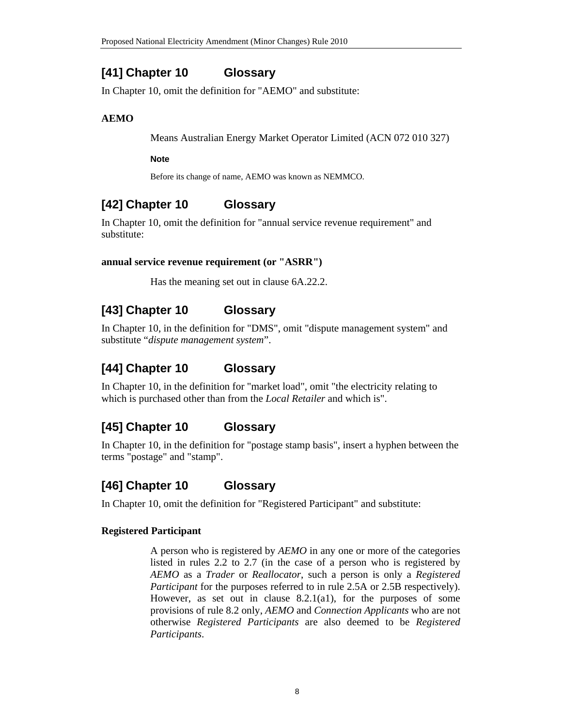## **[41] Chapter 10 Glossary**

In Chapter 10, omit the definition for "AEMO" and substitute:

### **AEMO**

Means Australian Energy Market Operator Limited (ACN 072 010 327)

#### **Note**

Before its change of name, AEMO was known as NEMMCO.

# **[42] Chapter 10 Glossary**

In Chapter 10, omit the definition for "annual service revenue requirement" and substitute:

### **annual service revenue requirement (or "ASRR")**

Has the meaning set out in clause 6A.22.2.

# **[43] Chapter 10 Glossary**

In Chapter 10, in the definition for "DMS", omit "dispute management system" and substitute "*dispute management system*".

# **[44] Chapter 10 Glossary**

In Chapter 10, in the definition for "market load", omit "the electricity relating to which is purchased other than from the *Local Retailer* and which is".

## **[45] Chapter 10 Glossary**

In Chapter 10, in the definition for "postage stamp basis", insert a hyphen between the terms "postage" and "stamp".

## **[46] Chapter 10 Glossary**

In Chapter 10, omit the definition for "Registered Participant" and substitute:

### **Registered Participant**

A person who is registered by *AEMO* in any one or more of the categories listed in rules 2.2 to 2.7 (in the case of a person who is registered by *AEMO* as a *Trader* or *Reallocator*, such a person is only a *Registered Participant* for the purposes referred to in rule 2.5A or 2.5B respectively). However, as set out in clause 8.2.1(a1), for the purposes of some provisions of rule 8.2 only, *AEMO* and *Connection Applicants* who are not otherwise *Registered Participants* are also deemed to be *Registered Participants*.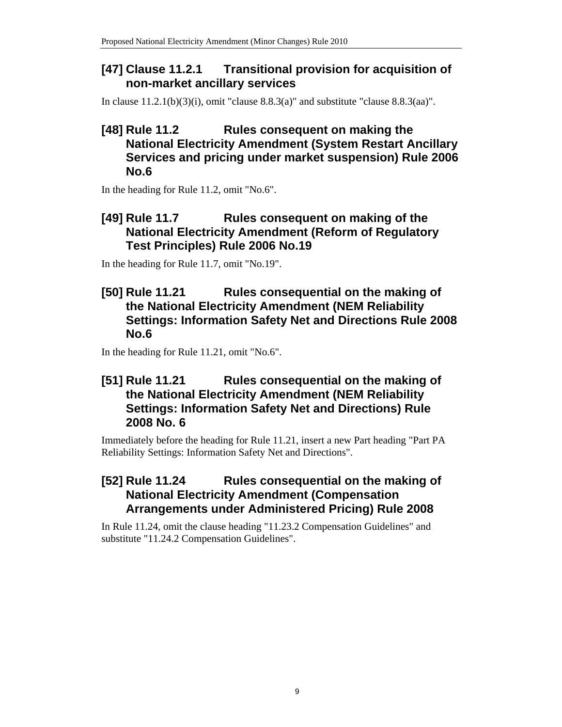## **[47] Clause 11.2.1 Transitional provision for acquisition of non-market ancillary services**

In clause 11.2.1(b)(3)(i), omit "clause 8.8.3(a)" and substitute "clause 8.8.3(aa)".

## **[48] Rule 11.2 Rules consequent on making the National Electricity Amendment (System Restart Ancillary Services and pricing under market suspension) Rule 2006 No.6**

In the heading for Rule 11.2, omit "No.6".

## **[49] Rule 11.7 Rules consequent on making of the National Electricity Amendment (Reform of Regulatory Test Principles) Rule 2006 No.19**

In the heading for Rule 11.7, omit "No.19".

### **[50] Rule 11.21 Rules consequential on the making of the National Electricity Amendment (NEM Reliability Settings: Information Safety Net and Directions Rule 2008 No.6**

In the heading for Rule 11.21, omit "No.6".

## **[51] Rule 11.21 Rules consequential on the making of the National Electricity Amendment (NEM Reliability Settings: Information Safety Net and Directions) Rule 2008 No. 6**

Immediately before the heading for Rule 11.21, insert a new Part heading "Part PA Reliability Settings: Information Safety Net and Directions".

## **[52] Rule 11.24 Rules consequential on the making of National Electricity Amendment (Compensation Arrangements under Administered Pricing) Rule 2008**

In Rule 11.24, omit the clause heading "11.23.2 Compensation Guidelines" and substitute "11.24.2 Compensation Guidelines".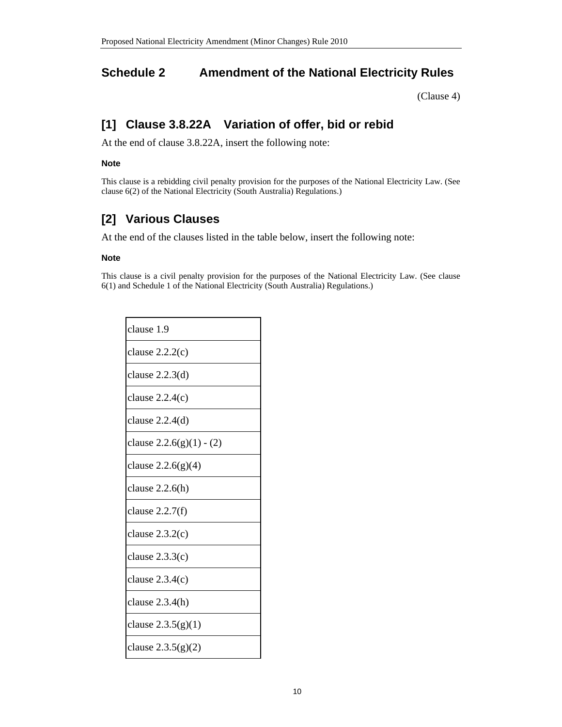## **Schedule 2 Amendment of the National Electricity Rules**

(Clause 4)

## **[1] Clause 3.8.22A Variation of offer, bid or rebid**

At the end of clause 3.8.22A, insert the following note:

#### **Note**

This clause is a rebidding civil penalty provision for the purposes of the National Electricity Law. (See clause 6(2) of the National Electricity (South Australia) Regulations.)

# **[2] Various Clauses**

At the end of the clauses listed in the table below, insert the following note:

#### **Note**

This clause is a civil penalty provision for the purposes of the National Electricity Law. (See clause 6(1) and Schedule 1 of the National Electricity (South Australia) Regulations.)

| clause 1.9                 |
|----------------------------|
| clause $2.2.2(c)$          |
| clause $2.2.3(d)$          |
| clause $2.2.4(c)$          |
| clause $2.2.4(d)$          |
| clause $2.2.6(g)(1) - (2)$ |
| clause $2.2.6(g)(4)$       |
| clause $2.2.6(h)$          |
| clause $2.2.7(f)$          |
| clause $2.3.2(c)$          |
| clause $2.3.3(c)$          |
| clause $2.3.4(c)$          |
| clause $2.3.4(h)$          |
| clause $2.3.5(g)(1)$       |
| clause $2.3.5(g)(2)$       |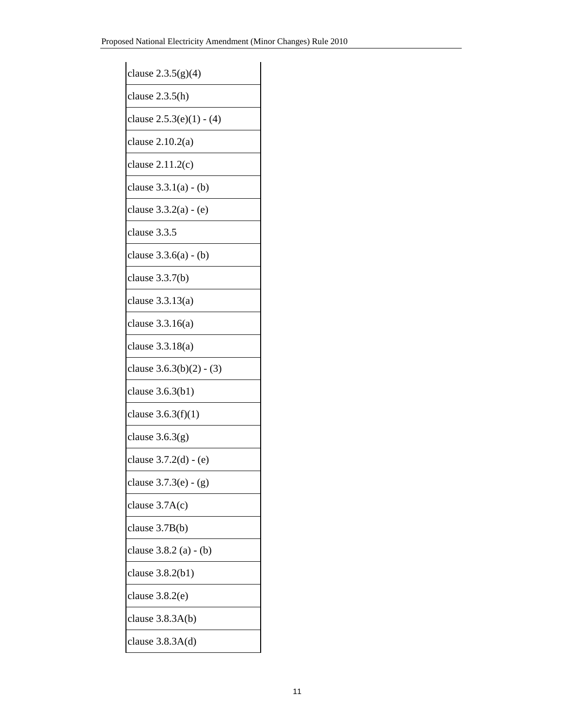| clause $2.3.5(g)(4)$       |
|----------------------------|
| clause $2.3.5(h)$          |
| clause $2.5.3(e)(1) - (4)$ |
| clause 2.10.2(a)           |
| clause $2.11.2(c)$         |
| clause $3.3.1(a) - (b)$    |
| clause $3.3.2(a) - (e)$    |
| clause 3.3.5               |
| clause $3.3.6(a) - (b)$    |
| clause $3.3.7(b)$          |
| clause $3.3.13(a)$         |
| clause 3.3.16(a)           |
| clause 3.3.18(a)           |
| clause $3.6.3(b)(2) - (3)$ |
| clause $3.6.3(b1)$         |
| clause $3.6.3(f)(1)$       |
| clause $3.6.3(g)$          |
| clause 3.7.2(d) - (e)      |
| clause 3.7.3(e) - (g)      |
| clause $3.7A(c)$           |
| clause 3.7B(b)             |
| clause 3.8.2 (a) - (b)     |
| clause 3.8.2(b1)           |
| clause $3.8.2(e)$          |
| clause $3.8.3A(b)$         |
| clause $3.8.3A(d)$         |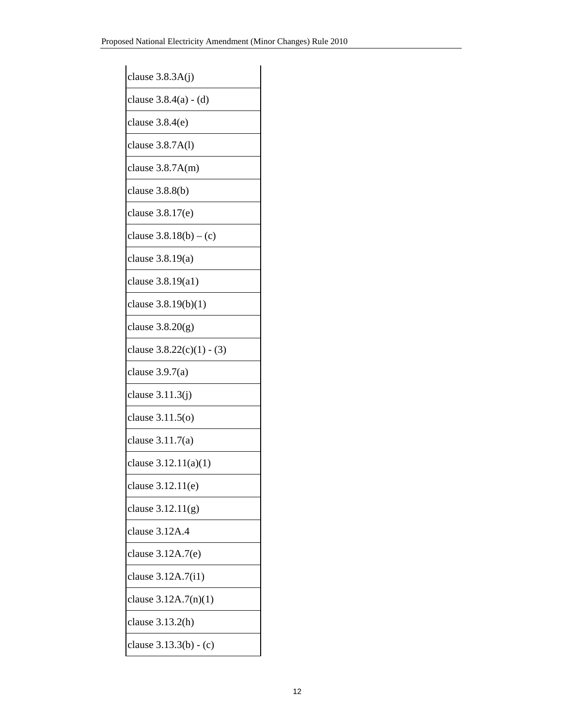| clause $3.8.3A(j)$          |
|-----------------------------|
| clause 3.8.4(a) - (d)       |
| clause $3.8.4(e)$           |
| clause 3.8.7A(l)            |
| clause $3.8.7A(m)$          |
| clause $3.8.8(b)$           |
| clause 3.8.17(e)            |
| clause $3.8.18(b) - (c)$    |
| clause $3.8.19(a)$          |
| clause 3.8.19(a1)           |
| clause 3.8.19(b)(1)         |
| clause $3.8.20(g)$          |
| clause $3.8.22(c)(1) - (3)$ |
| clause $3.9.7(a)$           |
| clause $3.11.3(j)$          |
| clause $3.11.5(0)$          |
| clause $3.11.7(a)$          |
| clause 3.12.11(a)(1)        |
| clause $3.12.11(e)$         |
| clause $3.12.11(g)$         |
| clause 3.12A.4              |
| clause 3.12A.7(e)           |
| clause 3.12A.7(i1)          |
| clause $3.12A.7(n)(1)$      |
| clause 3.13.2(h)            |
| clause 3.13.3(b) - (c)      |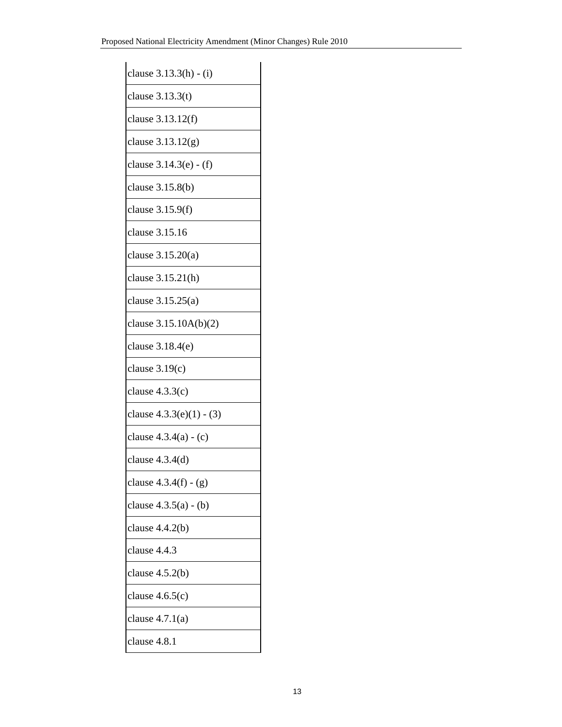| clause 3.13.3(h) - (i)     |
|----------------------------|
| clause $3.13.3(t)$         |
| clause 3.13.12(f)          |
| clause 3.13.12(g)          |
| clause 3.14.3(e) - (f)     |
| clause 3.15.8(b)           |
| clause 3.15.9(f)           |
| clause 3.15.16             |
| clause $3.15.20(a)$        |
| clause 3.15.21(h)          |
| clause 3.15.25(a)          |
| clause 3.15.10A(b)(2)      |
| clause 3.18.4(e)           |
| clause $3.19(c)$           |
| clause $4.3.3(c)$          |
| clause $4.3.3(e)(1) - (3)$ |
| clause $4.3.4(a) - (c)$    |
| clause $4.3.4(d)$          |
| clause $4.3.4(f) - (g)$    |
| clause $4.3.5(a) - (b)$    |
| clause $4.4.2(b)$          |
| clause 4.4.3               |
| clause $4.5.2(b)$          |
| clause $4.6.5(c)$          |
| clause $4.7.1(a)$          |
| clause 4.8.1               |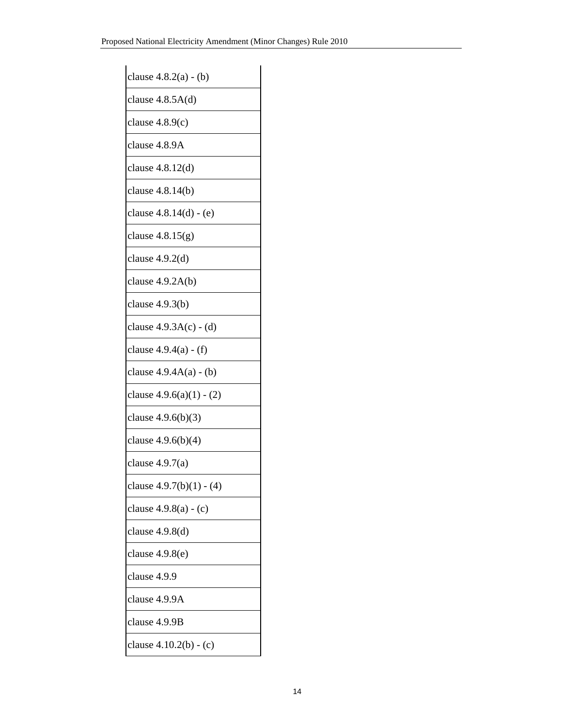| clause 4.8.2(a) - (b)      |
|----------------------------|
| clause $4.8.5A(d)$         |
| clause $4.8.9(c)$          |
| clause 4.8.9A              |
| clause 4.8.12(d)           |
| clause 4.8.14(b)           |
| clause 4.8.14(d) - (e)     |
| clause $4.8.15(g)$         |
| clause 4.9.2(d)            |
| clause $4.9.2A(b)$         |
| clause $4.9.3(b)$          |
| clause $4.9.3A(c) - (d)$   |
| clause 4.9.4(a) - (f)      |
| clause $4.9.4A(a) - (b)$   |
| clause $4.9.6(a)(1) - (2)$ |
| clause 4.9.6(b)(3)         |
| clause $4.9.6(b)(4)$       |
| clause $4.9.7(a)$          |
| clause $4.9.7(b)(1) - (4)$ |
| clause $4.9.8(a) - (c)$    |
| clause $4.9.8(d)$          |
| clause $4.9.8(e)$          |
| clause 4.9.9               |
| clause 4.9.9A              |
| clause 4.9.9B              |
| clause $4.10.2(b) - (c)$   |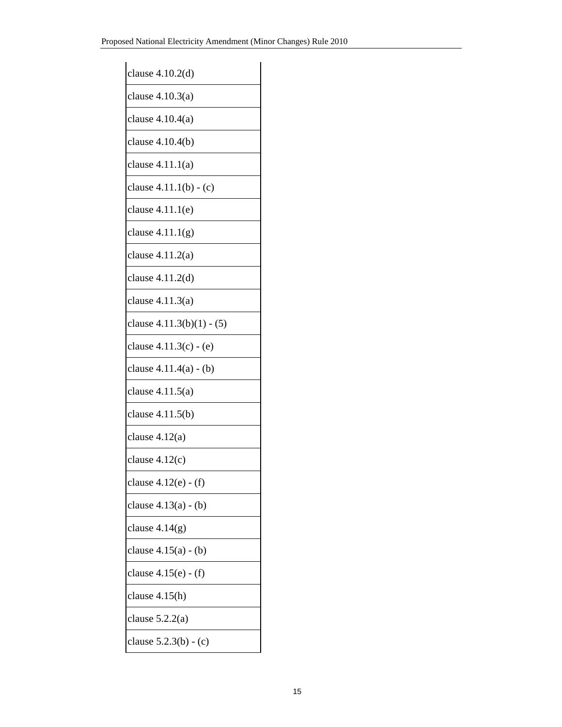| clause $4.10.2(d)$        |
|---------------------------|
| clause $4.10.3(a)$        |
| clause 4.10.4(a)          |
| clause 4.10.4(b)          |
| clause 4.11.1(a)          |
| clause 4.11.1(b) - (c)    |
| clause $4.11.1(e)$        |
| clause $4.11.1(g)$        |
| clause $4.11.2(a)$        |
| clause 4.11.2(d)          |
| clause 4.11.3(a)          |
| clause 4.11.3(b)(1) - (5) |
| clause 4.11.3(c) - (e)    |
| clause 4.11.4(a) - (b)    |
| clause 4.11.5(a)          |
| clause 4.11.5(b)          |
| clause $4.12(a)$          |
| clause $4.12(c)$          |
| clause 4.12(e) - (f)      |
| clause $4.13(a) - (b)$    |
| clause 4.14(g)            |
| clause 4.15(a) - (b)      |
| clause 4.15(e) - (f)      |
| clause 4.15(h)            |
| clause $5.2.2(a)$         |
| clause $5.2.3(b) - (c)$   |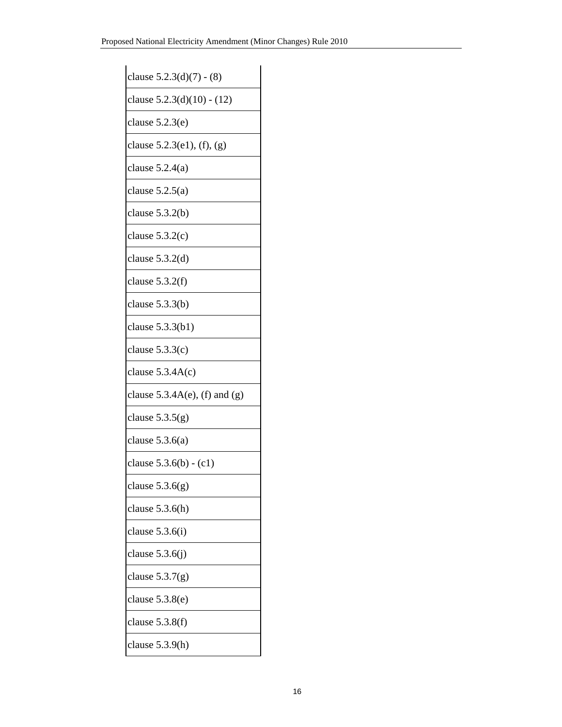| clause $5.2.3(d)(7) - (8)$         |
|------------------------------------|
| clause 5.2.3(d)(10) - (12)         |
| clause $5.2.3(e)$                  |
| clause $5.2.3(e1)$ , $(f)$ , $(g)$ |
| clause $5.2.4(a)$                  |
| clause $5.2.5(a)$                  |
| clause $5.3.2(b)$                  |
| clause $5.3.2(c)$                  |
| clause $5.3.2(d)$                  |
| clause $5.3.2(f)$                  |
| clause $5.3.3(b)$                  |
| clause $5.3.3(b1)$                 |
| clause $5.3.3(c)$                  |
| clause $5.3.4A(c)$                 |
| clause $5.3.4A(e)$ , (f) and (g)   |
| clause $5.3.5(g)$                  |
| clause $5.3.6(a)$                  |
| clause $5.3.6(b) - (c1)$           |
| clause $5.3.6(g)$                  |
| clause $5.3.6(h)$                  |
| clause $5.3.6(i)$                  |
| clause $5.3.6(j)$                  |
| clause $5.3.7(g)$                  |
| clause $5.3.8(e)$                  |
| clause $5.3.8(f)$                  |
| clause $5.3.9(h)$                  |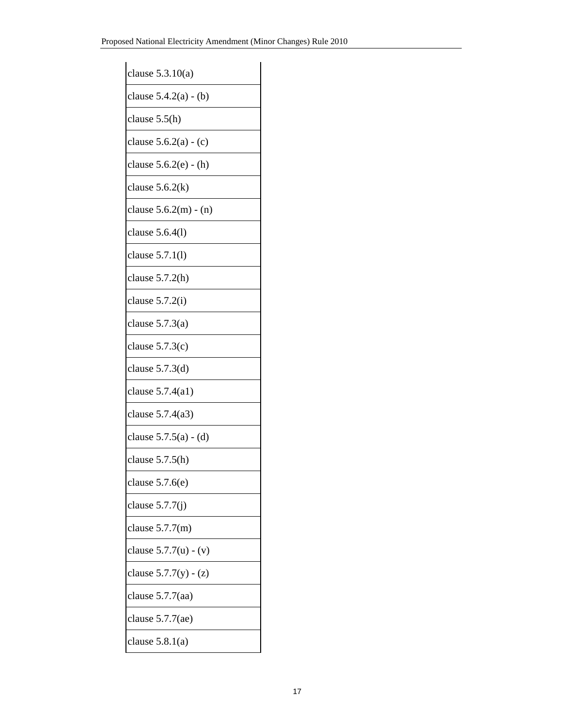| clause $5.3.10(a)$      |
|-------------------------|
| clause $5.4.2(a) - (b)$ |
| clause $5.5(h)$         |
| clause $5.6.2(a) - (c)$ |
| clause 5.6.2(e) - (h)   |
| clause $5.6.2(k)$       |
| clause $5.6.2(m) - (n)$ |
| clause 5.6.4(1)         |
| clause 5.7.1(1)         |
| clause $5.7.2(h)$       |
| clause $5.7.2(i)$       |
| clause $5.7.3(a)$       |
| clause $5.7.3(c)$       |
| clause $5.7.3(d)$       |
| clause 5.7.4(a1)        |
| clause 5.7.4(a3)        |
| clause $5.7.5(a) - (d)$ |
| clause $5.7.5(h)$       |
| clause $5.7.6(e)$       |
| clause $5.7.7(i)$       |
| clause $5.7.7(m)$       |
| clause $5.7.7(u) - (v)$ |
| clause $5.7.7(y) - (z)$ |
| clause 5.7.7(aa)        |
| clause 5.7.7(ae)        |
| clause $5.8.1(a)$       |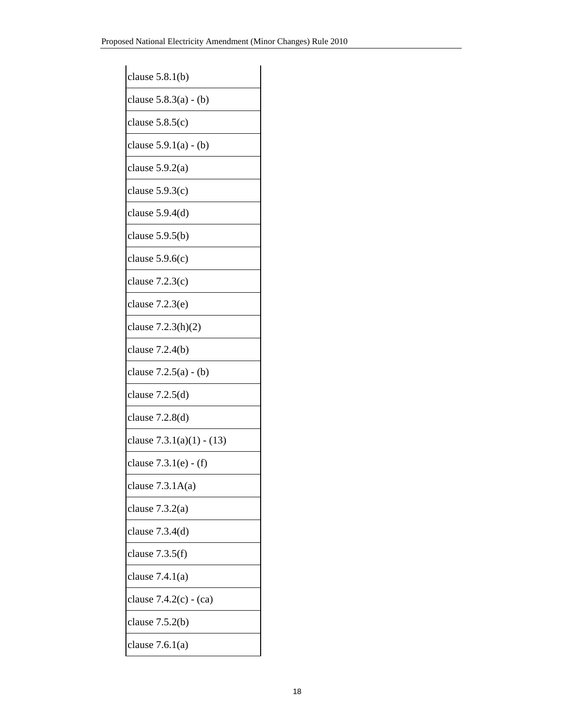| clause $5.8.1(b)$           |
|-----------------------------|
| clause $5.8.3(a) - (b)$     |
| clause $5.8.5(c)$           |
| clause $5.9.1(a) - (b)$     |
| clause $5.9.2(a)$           |
| clause $5.9.3(c)$           |
| clause $5.9.4(d)$           |
| clause $5.9.5(b)$           |
| clause $5.9.6(c)$           |
| clause $7.2.3(c)$           |
| clause $7.2.3(e)$           |
| clause 7.2.3(h)(2)          |
| clause $7.2.4(b)$           |
| clause $7.2.5(a) - (b)$     |
| clause $7.2.5(d)$           |
| clause 7.2.8(d)             |
| clause $7.3.1(a)(1) - (13)$ |
| clause $7.3.1(e) - (f)$     |
| clause $7.3.1A(a)$          |
| clause $7.3.2(a)$           |
| clause $7.3.4(d)$           |
| clause 7.3.5(f)             |
| clause $7.4.1(a)$           |
| clause $7.4.2(c) - (ca)$    |
| clause $7.5.2(b)$           |
| clause $7.6.1(a)$           |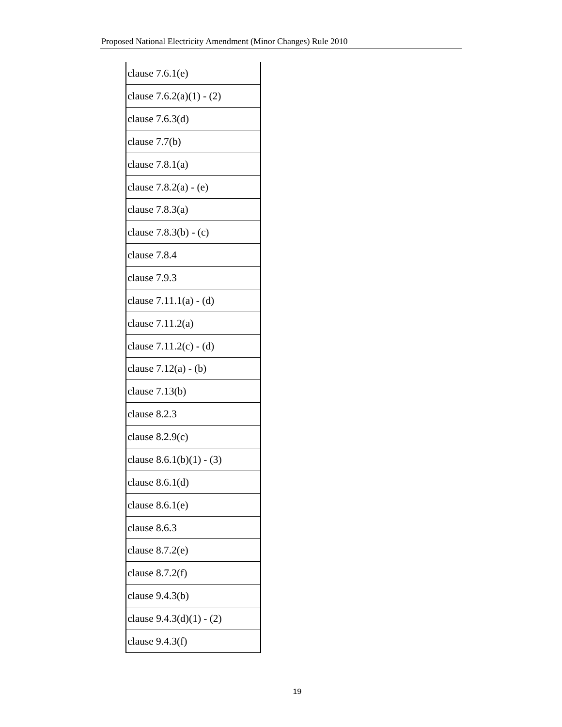| clause $7.6.1(e)$          |
|----------------------------|
| clause $7.6.2(a)(1) - (2)$ |
| clause $7.6.3(d)$          |
| clause 7.7(b)              |
| clause $7.8.1(a)$          |
| clause $7.8.2(a) - (e)$    |
| clause $7.8.3(a)$          |
| clause $7.8.3(b) - (c)$    |
| clause 7.8.4               |
| clause 7.9.3               |
| clause $7.11.1(a) - (d)$   |
| clause $7.11.2(a)$         |
| clause 7.11.2(c) - (d)     |
| clause 7.12(a) - (b)       |
| clause $7.13(b)$           |
| clause 8.2.3               |
| clause $8.2.9(c)$          |
| clause $8.6.1(b)(1) - (3)$ |
| clause $8.6.1(d)$          |
| clause $8.6.1(e)$          |
| clause 8.6.3               |
| clause 8.7.2(e)            |
| clause 8.7.2(f)            |
| clause 9.4.3(b)            |
| clause $9.4.3(d)(1) - (2)$ |
| clause $9.4.3(f)$          |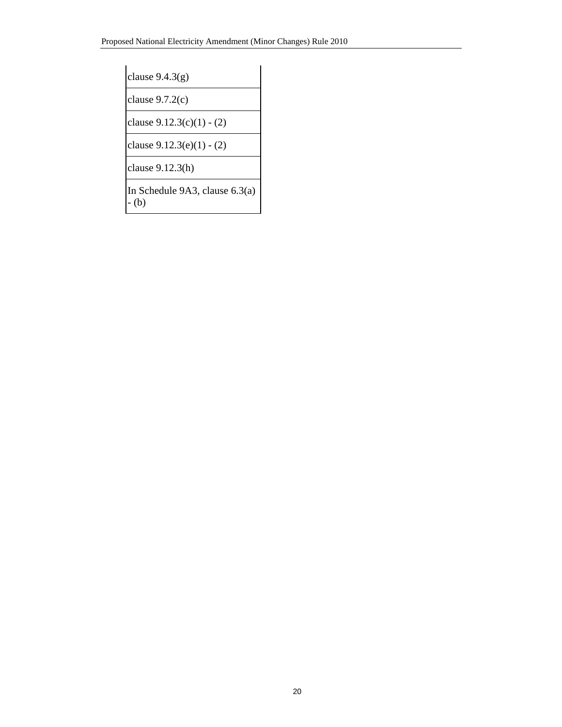clause 9.4.3(g)

clause 9.7.2(c)

clause 9.12.3(c)(1) - (2)

clause 9.12.3(e)(1) - (2)

clause 9.12.3(h)

In Schedule 9A3, clause 6.3(a) - (b)